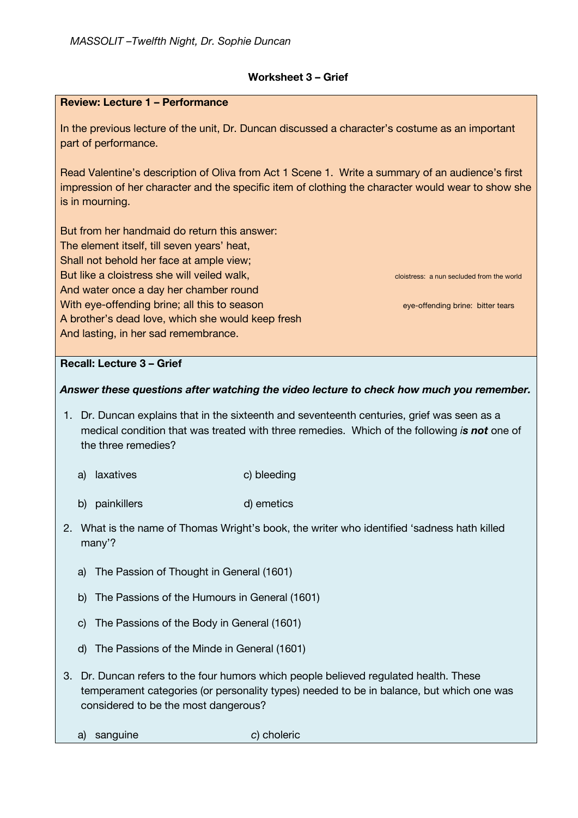## **Worksheet 3 – Grief**

#### **Review: Lecture 1 – Performance**

In the previous lecture of the unit, Dr. Duncan discussed a character's costume as an important part of performance.

Read Valentine's description of Oliva from Act 1 Scene 1. Write a summary of an audience's first impression of her character and the specific item of clothing the character would wear to show she is in mourning.

But from her handmaid do return this answer: The element itself, till seven years' heat, Shall not behold her face at ample view; But like a cloistress she will veiled walk, close the contract cloistress: a nun secluded from the world And water once a day her chamber round With eye-offending brine; all this to season eye-offending brine: bitter tears A brother's dead love, which she would keep fresh And lasting, in her sad remembrance.

## **Recall: Lecture 3 – Grief**

#### *Answer these questions after watching the video lecture to check how much you remember.*

- 1. Dr. Duncan explains that in the sixteenth and seventeenth centuries, grief was seen as a medical condition that was treated with three remedies. Which of the following *is not* one of the three remedies?
	- a) laxatives c) bleeding
	- b) painkillers d) emetics
- 2. What is the name of Thomas Wright's book, the writer who identified 'sadness hath killed many'?
	- a) The Passion of Thought in General (1601)
	- b) The Passions of the Humours in General (1601)
	- c) The Passions of the Body in General (1601)
	- d) The Passions of the Minde in General (1601)
- 3. Dr. Duncan refers to the four humors which people believed regulated health. These temperament categories (or personality types) needed to be in balance, but which one was considered to be the most dangerous?
- a) sanguine *c*) choleric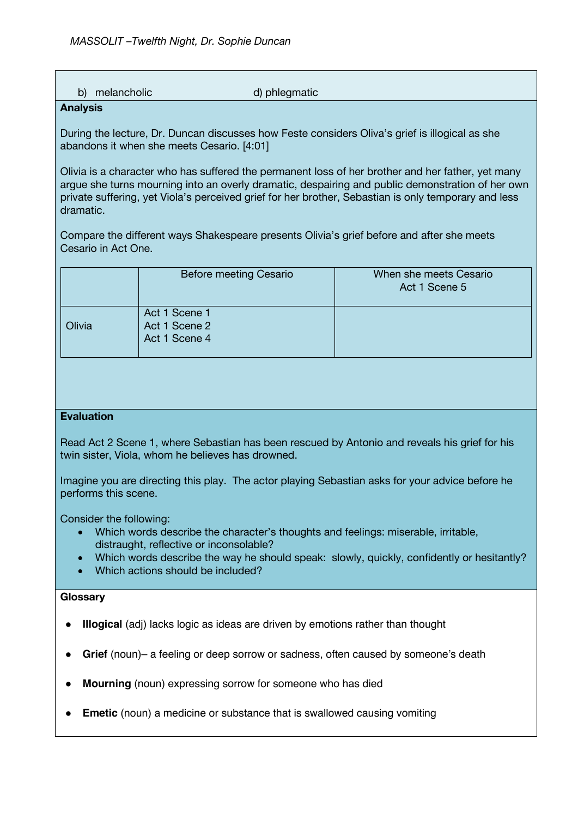| melancholic<br>b)<br><b>Analysis</b>                                                                                                                                                                                                                                                                                       | d) phlegmatic                                   |                                         |
|----------------------------------------------------------------------------------------------------------------------------------------------------------------------------------------------------------------------------------------------------------------------------------------------------------------------------|-------------------------------------------------|-----------------------------------------|
|                                                                                                                                                                                                                                                                                                                            |                                                 |                                         |
| During the lecture, Dr. Duncan discusses how Feste considers Oliva's grief is illogical as she<br>abandons it when she meets Cesario. [4:01]                                                                                                                                                                               |                                                 |                                         |
| Olivia is a character who has suffered the permanent loss of her brother and her father, yet many<br>argue she turns mourning into an overly dramatic, despairing and public demonstration of her own<br>private suffering, yet Viola's perceived grief for her brother, Sebastian is only temporary and less<br>dramatic. |                                                 |                                         |
| Compare the different ways Shakespeare presents Olivia's grief before and after she meets<br>Cesario in Act One.                                                                                                                                                                                                           |                                                 |                                         |
|                                                                                                                                                                                                                                                                                                                            | <b>Before meeting Cesario</b>                   | When she meets Cesario<br>Act 1 Scene 5 |
| Olivia                                                                                                                                                                                                                                                                                                                     | Act 1 Scene 1<br>Act 1 Scene 2<br>Act 1 Scene 4 |                                         |
|                                                                                                                                                                                                                                                                                                                            |                                                 |                                         |
| <b>Evaluation</b><br>Read Act 2 Scene 1, where Sebastian has been rescued by Antonio and reveals his grief for his<br>twin sister, Viola, whom he believes has drowned.                                                                                                                                                    |                                                 |                                         |
| Imagine you are directing this play. The actor playing Sebastian asks for your advice before he<br>performs this scene.                                                                                                                                                                                                    |                                                 |                                         |
| Consider the following:<br>Which words describe the character's thoughts and feelings: miserable, irritable,<br>$\bullet$<br>distraught, reflective or inconsolable?                                                                                                                                                       |                                                 |                                         |
| Which words describe the way he should speak: slowly, quickly, confidently or hesitantly?<br>Which actions should be included?                                                                                                                                                                                             |                                                 |                                         |
| Glossary                                                                                                                                                                                                                                                                                                                   |                                                 |                                         |
| <b>Illogical</b> (adj) lacks logic as ideas are driven by emotions rather than thought                                                                                                                                                                                                                                     |                                                 |                                         |
| Grief (noun)- a feeling or deep sorrow or sadness, often caused by someone's death                                                                                                                                                                                                                                         |                                                 |                                         |
| Mourning (noun) expressing sorrow for someone who has died                                                                                                                                                                                                                                                                 |                                                 |                                         |

● **Emetic** (noun) a medicine or substance that is swallowed causing vomiting